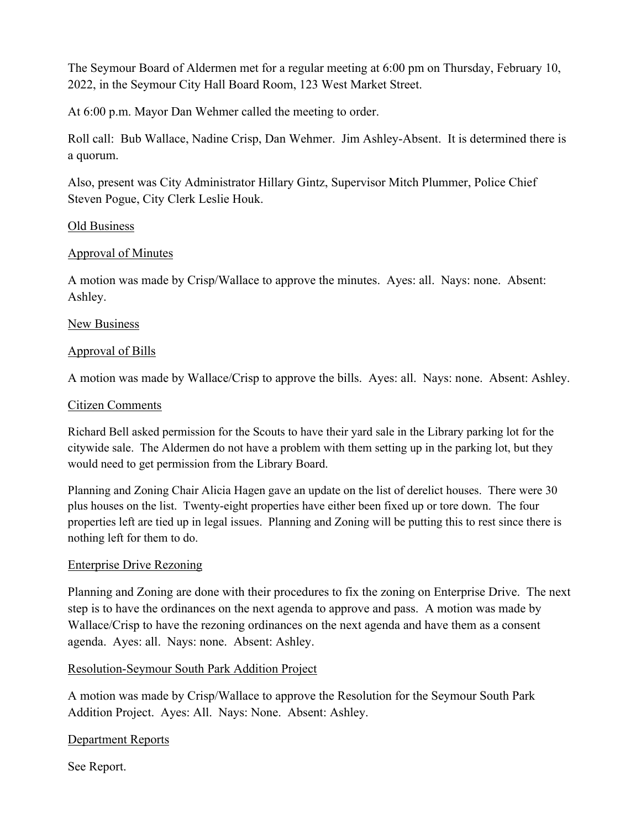The Seymour Board of Aldermen met for a regular meeting at 6:00 pm on Thursday, February 10, 2022, in the Seymour City Hall Board Room, 123 West Market Street.

At 6:00 p.m. Mayor Dan Wehmer called the meeting to order.

Roll call: Bub Wallace, Nadine Crisp, Dan Wehmer. Jim Ashley-Absent. It is determined there is a quorum.

Also, present was City Administrator Hillary Gintz, Supervisor Mitch Plummer, Police Chief Steven Pogue, City Clerk Leslie Houk.

### Old Business

## Approval of Minutes

A motion was made by Crisp/Wallace to approve the minutes. Ayes: all. Nays: none. Absent: Ashley.

### New Business

### Approval of Bills

A motion was made by Wallace/Crisp to approve the bills. Ayes: all. Nays: none. Absent: Ashley.

### Citizen Comments

Richard Bell asked permission for the Scouts to have their yard sale in the Library parking lot for the citywide sale. The Aldermen do not have a problem with them setting up in the parking lot, but they would need to get permission from the Library Board.

Planning and Zoning Chair Alicia Hagen gave an update on the list of derelict houses. There were 30 plus houses on the list. Twenty-eight properties have either been fixed up or tore down. The four properties left are tied up in legal issues. Planning and Zoning will be putting this to rest since there is nothing left for them to do.

# Enterprise Drive Rezoning

Planning and Zoning are done with their procedures to fix the zoning on Enterprise Drive. The next step is to have the ordinances on the next agenda to approve and pass. A motion was made by Wallace/Crisp to have the rezoning ordinances on the next agenda and have them as a consent agenda. Ayes: all. Nays: none. Absent: Ashley.

# Resolution-Seymour South Park Addition Project

A motion was made by Crisp/Wallace to approve the Resolution for the Seymour South Park Addition Project. Ayes: All. Nays: None. Absent: Ashley.

### Department Reports

See Report.